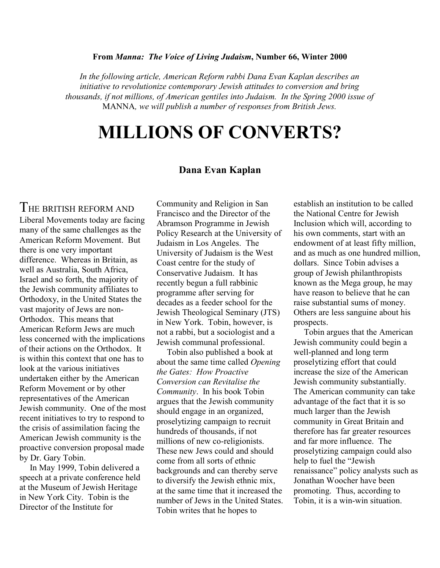## From Manna: The Voice of Living Judaism, Number 66, Winter 2000

In the following article, American Reform rabbi Dana Evan Kaplan describes an initiative to revolutionize contemporary Jewish attitudes to conversion and bring thousands, if not millions, of American gentiles into Judaism. In the Spring 2000 issue of MANNA, we will publish a number of responses from British Jews.

## MILLIONS OF CONVERTS?

## Dana Evan Kaplan

## THE BRITISH REFORM AND

Liberal Movements today are facing many of the same challenges as the American Reform Movement. But there is one very important difference. Whereas in Britain, as well as Australia, South Africa, Israel and so forth, the majority of the Jewish community affiliates to Orthodoxy, in the United States the vast majority of Jews are non-Orthodox. This means that American Reform Jews are much less concerned with the implications of their actions on the Orthodox. It is within this context that one has to look at the various initiatives undertaken either by the American Reform Movement or by other representatives of the American Jewish community. One of the most recent initiatives to try to respond to the crisis of assimilation facing the American Jewish community is the proactive conversion proposal made by Dr. Gary Tobin.

In May 1999, Tobin delivered a speech at a private conference held at the Museum of Jewish Heritage in New York City. Tobin is the Director of the Institute for

Community and Religion in San Francisco and the Director of the Abramson Programme in Jewish Policy Research at the University of Judaism in Los Angeles. The University of Judaism is the West Coast centre for the study of Conservative Judaism. It has recently begun a full rabbinic programme after serving for decades as a feeder school for the Jewish Theological Seminary (JTS) in New York. Tobin, however, is not a rabbi, but a sociologist and a Jewish communal professional.

Tobin also published a book at about the same time called Opening the Gates: How Proactive Conversion can Revitalise the Community. In his book Tobin argues that the Jewish community should engage in an organized, proselytizing campaign to recruit hundreds of thousands, if not millions of new co-religionists. These new Jews could and should come from all sorts of ethnic backgrounds and can thereby serve to diversify the Jewish ethnic mix, at the same time that it increased the number of Jews in the United States. Tobin writes that he hopes to

establish an institution to be called the National Centre for Jewish Inclusion which will, according to his own comments, start with an endowment of at least fifty million, and as much as one hundred million, dollars. Since Tobin advises a group of Jewish philanthropists known as the Mega group, he may have reason to believe that he can raise substantial sums of money. Others are less sanguine about his prospects.

Tobin argues that the American Jewish community could begin a well-planned and long term proselytizing effort that could increase the size of the American Jewish community substantially. The American community can take advantage of the fact that it is so much larger than the Jewish community in Great Britain and therefore has far greater resources and far more influence. The proselytizing campaign could also help to fuel the "Jewish renaissance" policy analysts such as Jonathan Woocher have been promoting. Thus, according to Tobin, it is a win-win situation.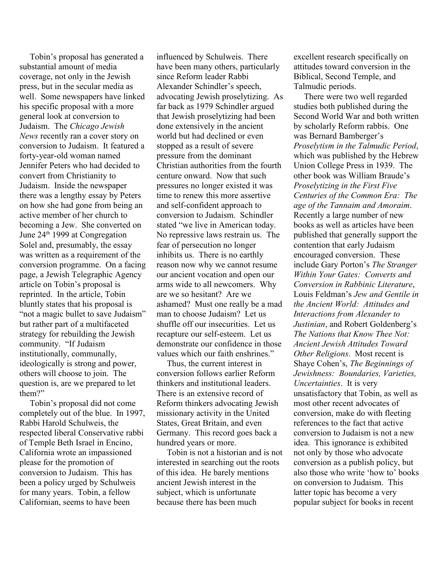Tobin's proposal has generated a substantial amount of media coverage, not only in the Jewish press, but in the secular media as well. Some newspapers have linked his specific proposal with a more general look at conversion to Judaism. The Chicago Jewish News recently ran a cover story on conversion to Judaism. It featured a forty-year-old woman named Jennifer Peters who had decided to convert from Christianity to Judaism. Inside the newspaper there was a lengthy essay by Peters on how she had gone from being an active member of her church to becoming a Jew. She converted on June 24<sup>th</sup> 1999 at Congregation Solel and, presumably, the essay was written as a requirement of the conversion programme. On a facing page, a Jewish Telegraphic Agency article on Tobin's proposal is reprinted. In the article, Tobin bluntly states that his proposal is "not a magic bullet to save Judaism" but rather part of a multifaceted strategy for rebuilding the Jewish community. "If Judaism institutionally, communally, ideologically is strong and power, others will choose to join. The question is, are we prepared to let them?"

Tobin's proposal did not come completely out of the blue. In 1997, Rabbi Harold Schulweis, the respected liberal Conservative rabbi of Temple Beth Israel in Encino, California wrote an impassioned please for the promotion of conversion to Judaism. This has been a policy urged by Schulweis for many years. Tobin, a fellow Californian, seems to have been

influenced by Schulweis. There have been many others, particularly since Reform leader Rabbi Alexander Schindler's speech, advocating Jewish proselytizing. As far back as 1979 Schindler argued that Jewish proselytizing had been done extensively in the ancient world but had declined or even stopped as a result of severe pressure from the dominant Christian authorities from the fourth centure onward. Now that such pressures no longer existed it was time to renew this more assertive and self-confident approach to conversion to Judaism. Schindler stated "we live in American today. No repressive laws restrain us. The fear of persecution no longer inhibits us. There is no earthly reason now why we cannot resume our ancient vocation and open our arms wide to all newcomers. Why are we so hesitant? Are we ashamed? Must one really be a mad man to choose Judaism? Let us shuffle off our insecurities. Let us recapture our self-esteem. Let us demonstrate our confidence in those values which our faith enshrines."

Thus, the current interest in conversion follows earlier Reform thinkers and institutional leaders. There is an extensive record of Reform thinkers advocating Jewish missionary activity in the United States, Great Britain, and even Germany. This record goes back a hundred years or more.

Tobin is not a historian and is not interested in searching out the roots of this idea. He barely mentions ancient Jewish interest in the subject, which is unfortunate because there has been much

excellent research specifically on attitudes toward conversion in the Biblical, Second Temple, and Talmudic periods.

There were two well regarded studies both published during the Second World War and both written by scholarly Reform rabbis. One was Bernard Bamberger's Proselytism in the Talmudic Period, which was published by the Hebrew Union College Press in 1939. The other book was William Braude's Proselytizing in the First Five Centuries of the Common Era: The age of the Tannaim and Amoraim. Recently a large number of new books as well as articles have been published that generally support the contention that early Judaism encouraged conversion. These include Gary Porton's The Stranger Within Your Gates: Converts and Conversion in Rabbinic Literature, Louis Feldman's Jew and Gentile in the Ancient World: Attitudes and Interactions from Alexander to Justinian, and Robert Goldenberg's The Nations that Know Thee Not: Ancient Jewish Attitudes Toward Other Religions. Most recent is Shaye Cohen's, The Beginnings of Jewishness: Boundaries, Varieties, Uncertainties. It is very unsatisfactory that Tobin, as well as most other recent advocates of conversion, make do with fleeting references to the fact that active conversion to Judaism is not a new idea. This ignorance is exhibited not only by those who advocate conversion as a publish policy, but also those who write 'how to' books on conversion to Judaism. This latter topic has become a very popular subject for books in recent